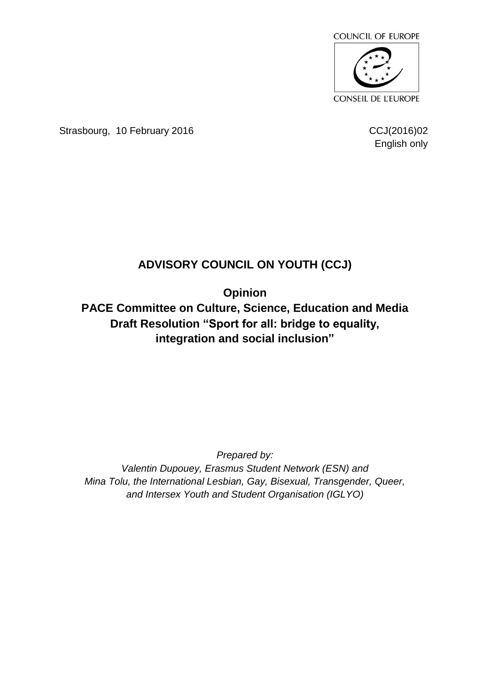

Strasbourg, 10 February 2016 CCJ(2016)02

English only

## **ADVISORY COUNCIL ON YOUTH (CCJ)**

**Opinion**

**PACE Committee on Culture, Science, Education and Media Draft Resolution "Sport for all: bridge to equality, integration and social inclusion"**

*Prepared by:*

*Valentin Dupouey, Erasmus Student Network (ESN) and Mina Tolu, the International Lesbian, Gay, Bisexual, Transgender, Queer, and Intersex Youth and Student Organisation (IGLYO)*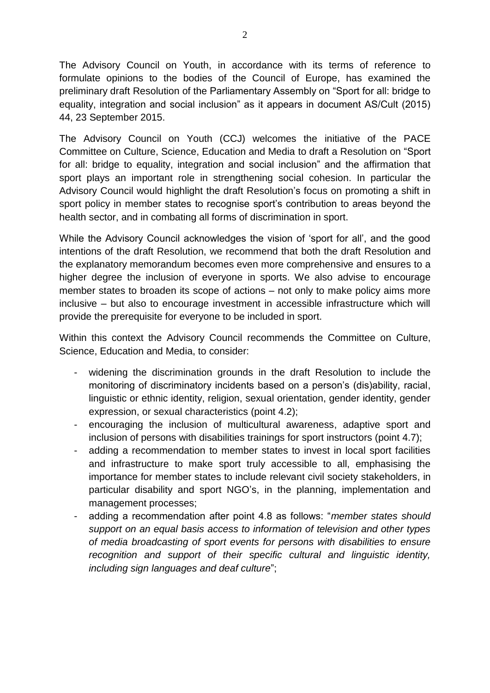The Advisory Council on Youth, in accordance with its terms of reference to formulate opinions to the bodies of the Council of Europe, has examined the preliminary draft Resolution of the Parliamentary Assembly on "Sport for all: bridge to equality, integration and social inclusion" as it appears in document AS/Cult (2015) 44, 23 September 2015.

The Advisory Council on Youth (CCJ) welcomes the initiative of the PACE Committee on Culture, Science, Education and Media to draft a Resolution on "Sport for all: bridge to equality, integration and social inclusion" and the affirmation that sport plays an important role in strengthening social cohesion. In particular the Advisory Council would highlight the draft Resolution's focus on promoting a shift in sport policy in member states to recognise sport's contribution to areas beyond the health sector, and in combating all forms of discrimination in sport.

While the Advisory Council acknowledges the vision of 'sport for all', and the good intentions of the draft Resolution, we recommend that both the draft Resolution and the explanatory memorandum becomes even more comprehensive and ensures to a higher degree the inclusion of everyone in sports. We also advise to encourage member states to broaden its scope of actions – not only to make policy aims more inclusive – but also to encourage investment in accessible infrastructure which will provide the prerequisite for everyone to be included in sport.

Within this context the Advisory Council recommends the Committee on Culture, Science, Education and Media, to consider:

- widening the discrimination grounds in the draft Resolution to include the monitoring of discriminatory incidents based on a person's (dis)ability, racial, linguistic or ethnic identity, religion, sexual orientation, gender identity, gender expression, or sexual characteristics (point 4.2);
- encouraging the inclusion of multicultural awareness, adaptive sport and inclusion of persons with disabilities trainings for sport instructors (point 4.7);
- adding a recommendation to member states to invest in local sport facilities and infrastructure to make sport truly accessible to all, emphasising the importance for member states to include relevant civil society stakeholders, in particular disability and sport NGO's, in the planning, implementation and management processes;
- adding a recommendation after point 4.8 as follows: "*member states should support on an equal basis access to information of television and other types of media broadcasting of sport events for persons with disabilities to ensure recognition and support of their specific cultural and linguistic identity, including sign languages and deaf culture*";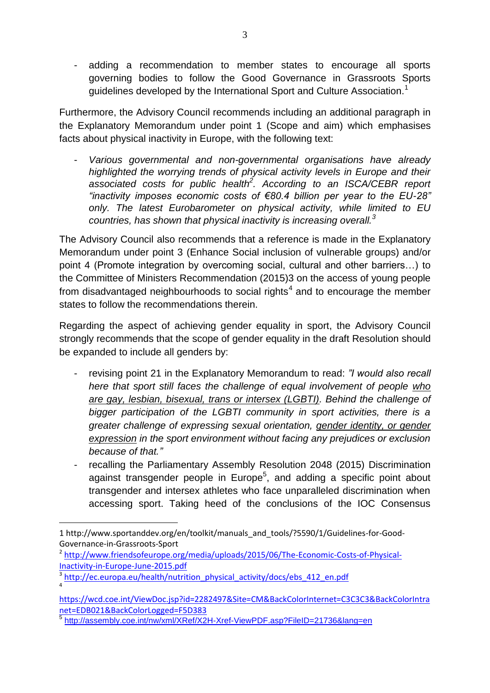- adding a recommendation to member states to encourage all sports governing bodies to follow the Good Governance in Grassroots Sports guidelines developed by the International Sport and Culture Association.<sup>1</sup>

Furthermore, the Advisory Council recommends including an additional paragraph in the Explanatory Memorandum under point 1 (Scope and aim) which emphasises facts about physical inactivity in Europe, with the following text:

- *Various governmental and non-governmental organisations have already highlighted the worrying trends of physical activity levels in Europe and their associated costs for public health<sup>2</sup> . According to an ISCA/CEBR report "inactivity imposes economic costs of €80.4 billion per year to the EU-28" only. The latest Eurobarometer on physical activity, while limited to EU countries, has shown that physical inactivity is increasing overall.<sup>3</sup>*

The Advisory Council also recommends that a reference is made in the Explanatory Memorandum under point 3 (Enhance Social inclusion of vulnerable groups) and/or point 4 (Promote integration by overcoming social, cultural and other barriers…) to the Committee of Ministers Recommendation (2015)3 on the access of young people from disadvantaged neighbourhoods to social rights<sup>4</sup> and to encourage the member states to follow the recommendations therein.

Regarding the aspect of achieving gender equality in sport, the Advisory Council strongly recommends that the scope of gender equality in the draft Resolution should be expanded to include all genders by:

- revising point 21 in the Explanatory Memorandum to read: *"I would also recall here that sport still faces the challenge of equal involvement of people who are gay, lesbian, bisexual, trans or intersex (LGBTI). Behind the challenge of bigger participation of the LGBTI community in sport activities, there is a greater challenge of expressing sexual orientation, gender identity, or gender expression in the sport environment without facing any prejudices or exclusion because of that."*
- recalling the Parliamentary Assembly Resolution 2048 (2015) Discrimination against transgender people in Europe<sup>5</sup>, and adding a specific point about transgender and intersex athletes who face unparalleled discrimination when accessing sport. Taking heed of the conclusions of the IOC Consensus

 $\overline{a}$ 

<sup>1</sup> http://www.sportanddev.org/en/toolkit/manuals\_and\_tools/?5590/1/Guidelines-for-Good-Governance-in-Grassroots-Sport

<sup>&</sup>lt;sup>2</sup> [http://www.friendsofeurope.org/media/uploads/2015/06/The-Economic-Costs-of-Physical-](http://www.friendsofeurope.org/media/uploads/2015/06/The-Economic-Costs-of-Physical-Inactivity-in-Europe-June-2015.pdf)[Inactivity-in-Europe-June-2015.pdf](http://www.friendsofeurope.org/media/uploads/2015/06/The-Economic-Costs-of-Physical-Inactivity-in-Europe-June-2015.pdf)

<sup>&</sup>lt;sup>3</sup> [http://ec.europa.eu/health/nutrition\\_physical\\_activity/docs/ebs\\_412\\_en.pdf](http://ec.europa.eu/health/nutrition_physical_activity/docs/ebs_412_en.pdf) 4

[https://wcd.coe.int/ViewDoc.jsp?id=2282497&Site=CM&BackColorInternet=C3C3C3&BackColorIntra](https://wcd.coe.int/ViewDoc.jsp?id=2282497&Site=CM&BackColorInternet=C3C3C3&BackColorIntranet=EDB021&BackColorLogged=F5D383) [net=EDB021&BackColorLogged=F5D383](https://wcd.coe.int/ViewDoc.jsp?id=2282497&Site=CM&BackColorInternet=C3C3C3&BackColorIntranet=EDB021&BackColorLogged=F5D383)

<sup>&</sup>lt;sup>5</sup> <http://assembly.coe.int/nw/xml/XRef/X2H-Xref-ViewPDF.asp?FileID=21736&lang=en>